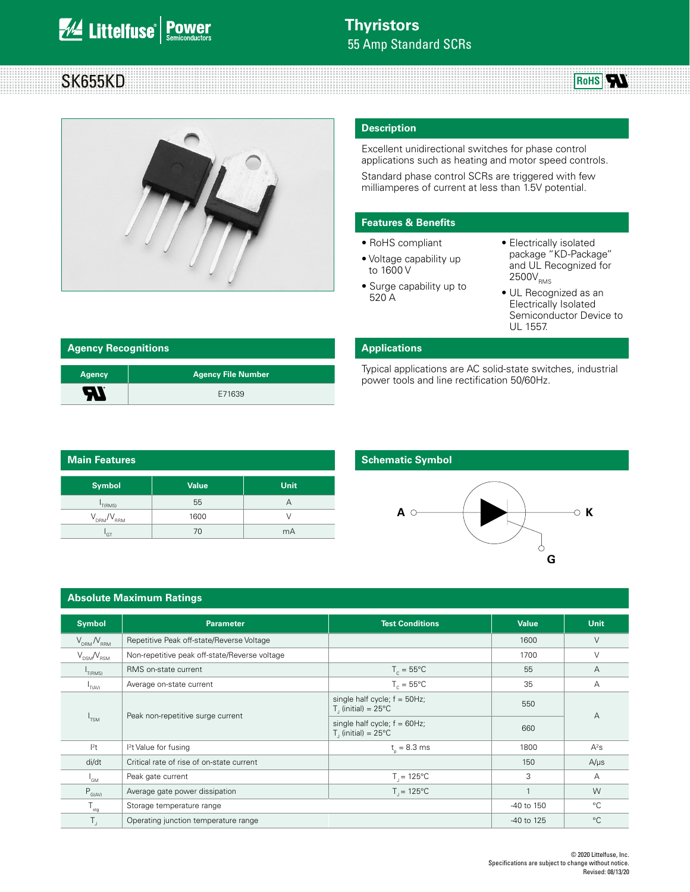# **We Littelfuse** Power

# SK655KD



### **Description**

Excellent unidirectional switches for phase control applications such as heating and motor speed controls.

Standard phase control SCRs are triggered with few milliamperes of current at less than 1.5V potential.

#### **Features & Benefits**

- RoHS compliant
- Voltage capability up to 1600 V
- Electrically isolated package "KD-Package" and UL Recognized for  $2500V_{RMS}$

**RoHS** 

- Surge capability up to 520 A
- UL Recognized as an Electrically Isolated Semiconductor Device to UL 1557.

| <b>Agency Recognitions</b> |                           |  |  |
|----------------------------|---------------------------|--|--|
| <b>Agency</b>              | <b>Agency File Number</b> |  |  |
| A1                         | E71639                    |  |  |

#### **Applications**

Typical applications are AC solid-state switches, industrial power tools and line rectification 50/60Hz.

| <b>Main Features</b> |              |      |  |  |
|----------------------|--------------|------|--|--|
| Symbol               | <b>Value</b> | Unit |  |  |
| T(RMS)               | 55           | А    |  |  |
| $V_{DRM}/V_{RRM}$    | 1600         | V    |  |  |
| <sup>'</sup> GT      | 70           | mA   |  |  |

### **Schematic Symbol**



#### **Absolute Maximum Ratings**

| <b>Symbol</b>                     | <b>Parameter</b>                              | <b>Test Conditions</b>                                               | <b>Value</b>   | <b>Unit</b>    |  |
|-----------------------------------|-----------------------------------------------|----------------------------------------------------------------------|----------------|----------------|--|
| $V_{\text{DRM}} / V_{\text{RRM}}$ | Repetitive Peak off-state/Reverse Voltage     |                                                                      | 1600           | $\vee$         |  |
| $V_{DSM}/V_{RSM}$                 | Non-repetitive peak off-state/Reverse voltage |                                                                      | 1700           | $\vee$         |  |
| T(RMS)                            | RMS on-state current                          | $T_c = 55^{\circ}$ C                                                 | 55             | $\overline{A}$ |  |
| $I_{T(AV)}$                       | Average on-state current                      | $T_c = 55^{\circ}$ C                                                 | 35             | A              |  |
|                                   |                                               | single half cycle; $f = 50Hz$ ;<br>$T1$ (initial) = 25°C             | 550            |                |  |
| I <sub>TSM</sub>                  | Peak non-repetitive surge current             | single half cycle; $f = 60Hz$ ;<br>$T$ , (initial) = 25 $^{\circ}$ C | 660            | $\overline{A}$ |  |
| $1^2t$                            | $l2t$ Value for fusing                        | $t_{0} = 8.3$ ms                                                     | 1800           | $A^2s$         |  |
| di/dt                             | Critical rate of rise of on-state current     |                                                                      | 150            | $A/\mu s$      |  |
| $I_{GM}$                          | Peak gate current                             | $T_{1} = 125^{\circ}C$                                               | 3              | A              |  |
| $P_{G(AV)}$                       | Average gate power dissipation                | $T_{1} = 125^{\circ}C$                                               | $\overline{1}$ | W              |  |
| $T_{\rm stg}$                     | Storage temperature range                     |                                                                      | -40 to 150     | $^{\circ}C$    |  |
| T,                                | Operating junction temperature range          |                                                                      | -40 to 125     | $^{\circ}C$    |  |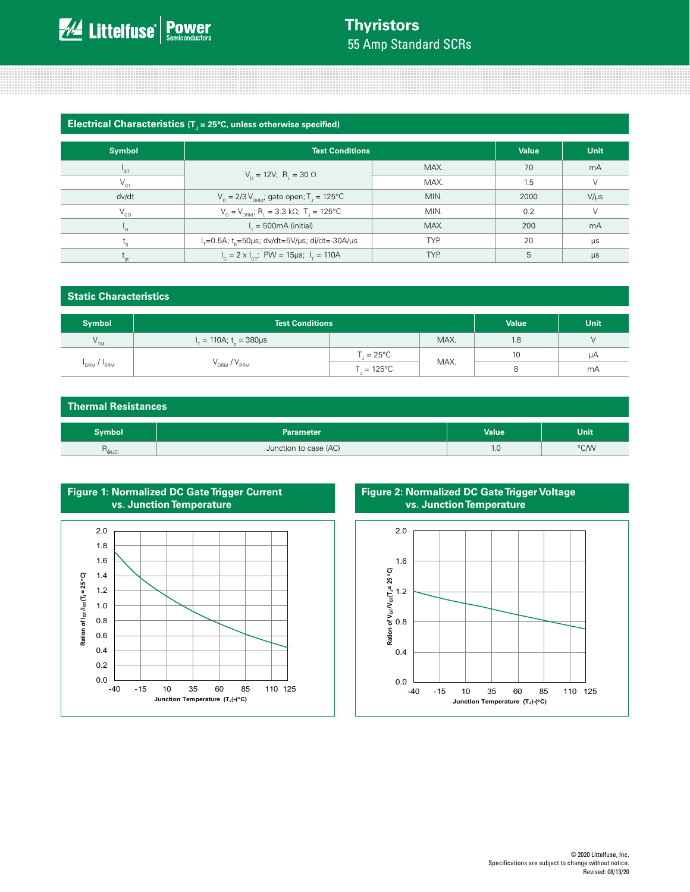# **Thyristors** 55 Amp Standard SCRs

#### **Electrical Characteristics** (T<sub>J</sub> = 25°C, unless otherwise specified)

| <b>Symbol</b>              | <b>Test Conditions</b>                                                            | <b>Value</b> | Unit |           |
|----------------------------|-----------------------------------------------------------------------------------|--------------|------|-----------|
| $\mathsf{I}_{\mathsf{GT}}$ |                                                                                   | MAX.         | 70   | mA        |
| $V_{GT}$                   | $V_p = 12V$ ; R <sub>1</sub> = 30 $\Omega$                                        | MAX.         | 1.5  | $\vee$    |
| dv/dt                      | $V_p = 2/3 V_{pRM}$ ; gate open; T <sub>1</sub> = 125°C<br>MIN.                   |              | 2000 | $V/\mu s$ |
| $\mathsf{V}_{\mathsf{GD}}$ | $V_p = V_{p, B}$ ; R <sub>1</sub> = 3.3 kΩ; T <sub>1</sub> = 125°C<br>MIN.        |              | 0.2  | $\vee$    |
| Ч.                         | $I_r = 500 \text{mA}$ (initial)<br>MAX.                                           |              | 200  | mA        |
|                            | TYP.<br>$I_{\tau} = 0.5$ A; t_=50 $\mu$ s; dv/dt=5V/ $\mu$ s; di/dt=-30A/ $\mu$ s |              | 20   | $\mu s$   |
| `at                        | $I_c = 2 \times I_{cr}$ ; PW = 15µs; $I_r = 110$ A                                | TYP.         | 5    | $\mu s$   |

| <b>Static Characteristics</b> |                                            |                       |      |              |      |
|-------------------------------|--------------------------------------------|-----------------------|------|--------------|------|
| <b>Symbol</b>                 | <b>Test Conditions</b>                     |                       |      | <b>Value</b> | Unit |
| $V^{\text{TM}}$               | $I_{\tau} = 110A$ ; t <sub>o</sub> = 380µs |                       | MAX. | 1.8          | V    |
| $I_{DRM}$ / $I_{RRM}$         | $V_{DRM} / V_{RRM}$                        | $T_{1} = 25^{\circ}C$ | MAX. | 10           | μA   |
|                               |                                            | $T = 125^{\circ}C$    |      | 8            | mA   |

| <b>Thermal Resistances</b>                    |                       |       |             |  |
|-----------------------------------------------|-----------------------|-------|-------------|--|
| Symbol                                        | <b>Parameter</b>      | Value | <b>Unit</b> |  |
| $\mathsf{R}_{\Theta\cup\mathsf{C}\mathsf{D}}$ | Junction to case (AC) | 1.0   | °C/W        |  |



### **Figure 2: Normalized DC Gate Trigger Voltage vs. Junction Temperature**

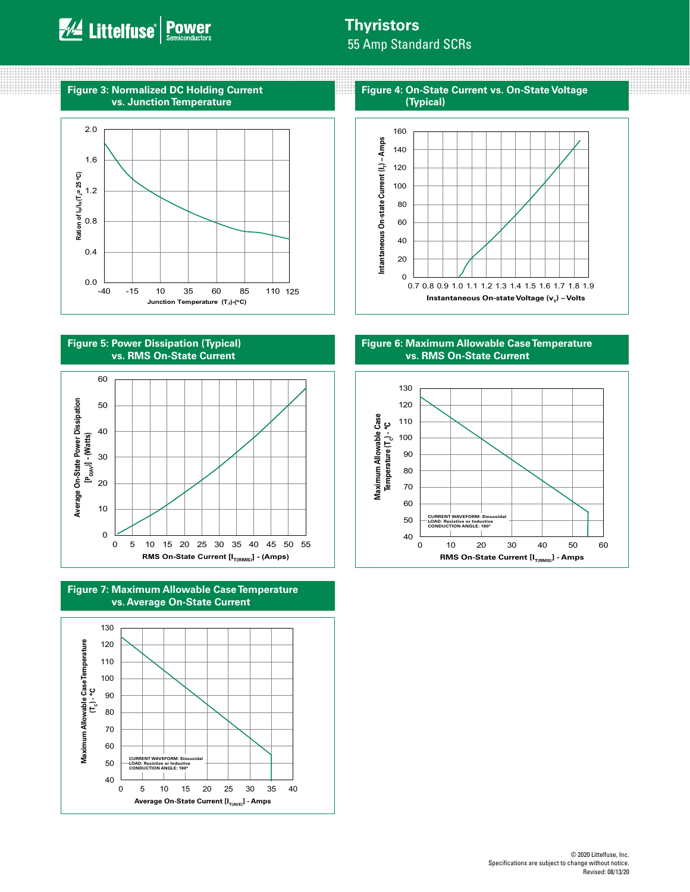0000000000

### **Thyristors**

m

55 Amp Standard SCRs





**Figure 5: Power Dissipation (Typical) vs. RMS On-State Current**



**Figure 7: Maximum Allowable Case Temperature vs. Average On-State Current**



**Figure 4: On-State Current vs. On-State Voltage (Typical)**



**Figure 6: Maximum Allowable Case Temperature vs. RMS On-State Current**

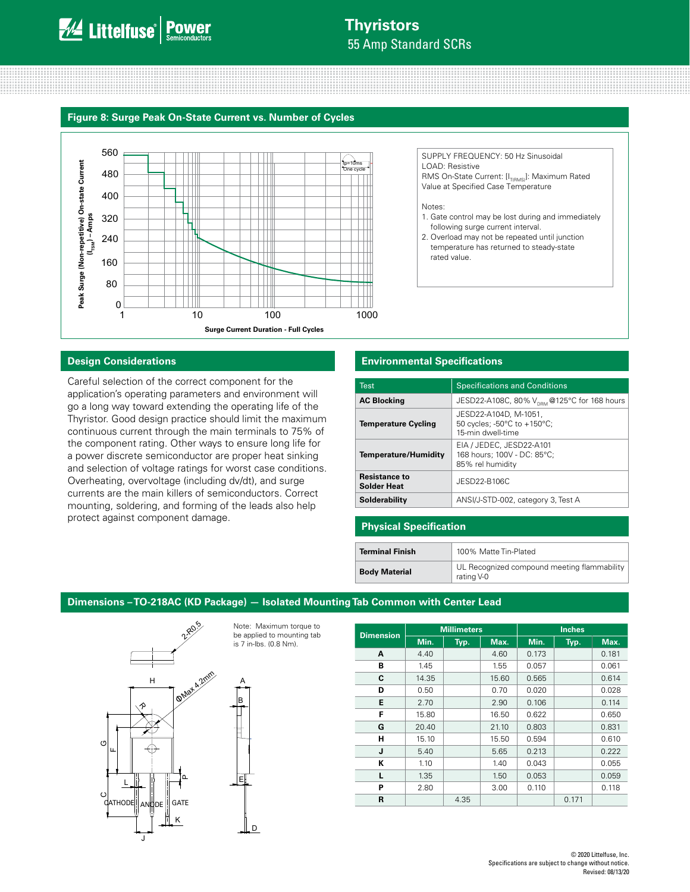## **Thyristors** 55 Amp Standard SCRs

#### **Figure 8: Surge Peak On-State Current vs. Number of Cycles**



#### **Design Considerations**

Careful selection of the correct component for the application's operating parameters and environment will go a long way toward extending the operating life of the Thyristor. Good design practice should limit the maximum continuous current through the main terminals to 75% of the component rating. Other ways to ensure long life for a power discrete semiconductor are proper heat sinking and selection of voltage ratings for worst case conditions. Overheating, overvoltage (including dv/dt), and surge currents are the main killers of semiconductors. Correct mounting, soldering, and forming of the leads also help protect against component damage.

#### **Environmental Specifications**

| <b>Test</b>                                | <b>Specifications and Conditions</b>                                        |
|--------------------------------------------|-----------------------------------------------------------------------------|
| <b>AC Blocking</b>                         | JESD22-A108C, 80% $V_{DPM}$ @125°C for 168 hours                            |
| <b>Temperature Cycling</b>                 | JESD22-A104D, M-1051,<br>50 cycles; -50°C to +150°C;<br>15-min dwell-time   |
| <b>Temperature/Humidity</b>                | EIA / JEDEC, JESD22-A101<br>168 hours; 100V - DC: 85°C;<br>85% rel humidity |
| <b>Resistance to</b><br><b>Solder Heat</b> | JESD22-B106C                                                                |
| Solderability                              | ANSI/J-STD-002, category 3, Test A                                          |

SUPPLY FREQUENCY: 50 Hz Sinusoidal

following surge current interval. 2. Overload may not be repeated until junction temperature has returned to steady-state

RMS On-State Current: [I<sub>T(RMS)</sub>]: Maximum Rated Value at Specified Case Temperature

1. Gate control may be lost during and immediately

LOAD: Resistive

rated value.

Notes:

#### **Physical Specification**

| <b>Terminal Finish</b> | 100% Matte Tin-Plated                                     |
|------------------------|-----------------------------------------------------------|
| <b>Body Material</b>   | UL Recognized compound meeting flammability<br>rating V-0 |

### **Dimensions – TO-218AC (KD Package) — Isolated Mounting Tab Common with Center Lead**

![](_page_3_Figure_11.jpeg)

Note: Maximum torque to be applied to mounting tab is 7 in-lbs. (0.8 Nm).

E

D

B A **Dimension Millimeters Inches Min.** | Typ. | Max. | Min. | Typ. | Max. **A** | 4.40 | 4.60 | 0.173 | 0.181 **B** | 1.45 | 1.55 | 0.057 | 0.061 **C** | 14.35 | | 15.60 | 0.565 | | 0.614 **D** 0.50 0.70 0.020 0.028 **E** | 2.70 | | 2.90 | 0.106 | | 0.114 **F** | 15.80 | 16.50 | 0.622 | 0.650 **G** 20.40 21.10 0.803 0.831 **H** 15.10 15.50 0.594 0.610 **J**  $\begin{array}{|c|c|c|c|c|c|} \hline \textbf{5.40} & \textbf{5.65} & \textbf{0.213} & \textbf{0.222} \hline \end{array}$ **K** | 1.10 | 1.40 | 0.043 | 0.055 **L** | 1.35 | | 1.50 | 0.053 | | 0.059 **P** | 2.80 | 3.00 0.110 | 0.118 **R**  $\vert$  4.35  $\vert$  0.171